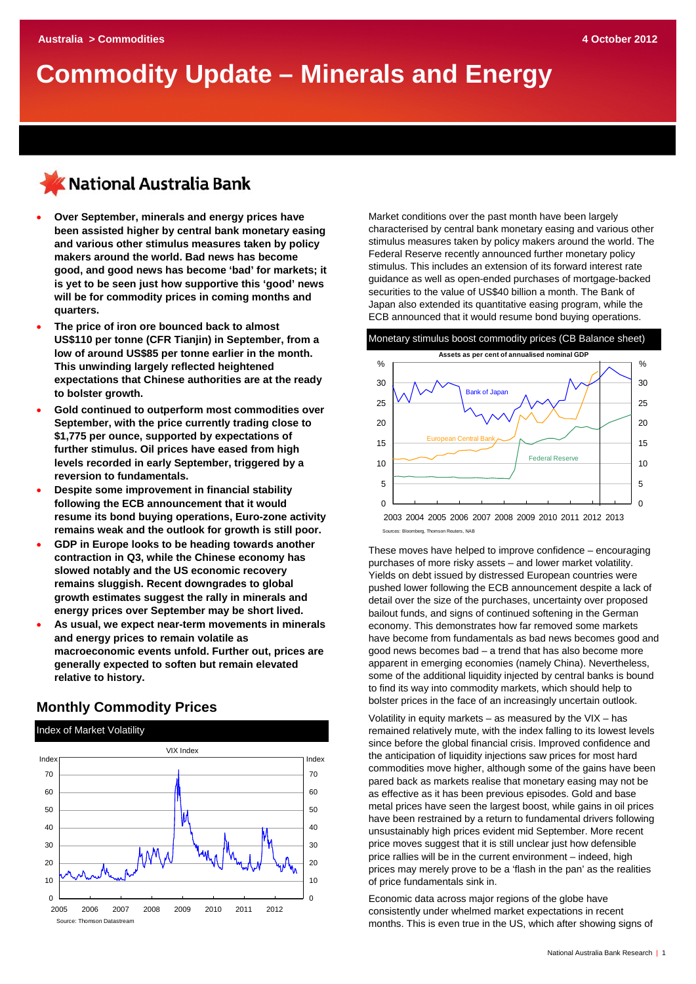# **Commodity Update – Minerals and Energy**

# KNational Australia Bank

- **Over September, minerals and energy prices have been assisted higher by central bank monetary easing and various other stimulus measures taken by policy makers around the world. Bad news has become good, and good news has become 'bad' for markets; it is yet to be seen just how supportive this 'good' news will be for commodity prices in coming months and quarters.**
- **The price of iron ore bounced back to almost US\$110 per tonne (CFR Tianjin) in September, from a low of around US\$85 per tonne earlier in the month. This unwinding largely reflected heightened expectations that Chinese authorities are at the ready to bolster growth.**
- **Gold continued to outperform most commodities over September, with the price currently trading close to \$1,775 per ounce, supported by expectations of further stimulus. Oil prices have eased from high levels recorded in early September, triggered by a reversion to fundamentals.**
- **Despite some improvement in financial stability following the ECB announcement that it would resume its bond buying operations, Euro-zone activity remains weak and the outlook for growth is still poor.**
- **GDP in Europe looks to be heading towards another contraction in Q3, while the Chinese economy has slowed notably and the US economic recovery remains sluggish. Recent downgrades to global growth estimates suggest the rally in minerals and energy prices over September may be short lived.**
- **As usual, we expect near-term movements in minerals and energy prices to remain volatile as macroeconomic events unfold. Further out, prices are generally expected to soften but remain elevated relative to history.**

# **Monthly Commodity Prices**



Market conditions over the past month have been largely characterised by central bank monetary easing and various other stimulus measures taken by policy makers around the world. The Federal Reserve recently announced further monetary policy stimulus. This includes an extension of its forward interest rate guidance as well as open-ended purchases of mortgage-backed securities to the value of US\$40 billion a month. The Bank of Japan also extended its quantitative easing program, while the ECB announced that it would resume bond buying operations.



These moves have helped to improve confidence – encouraging purchases of more risky assets – and lower market volatility. Yields on debt issued by distressed European countries were pushed lower following the ECB announcement despite a lack of detail over the size of the purchases, uncertainty over proposed bailout funds, and signs of continued softening in the German economy. This demonstrates how far removed some markets have become from fundamentals as bad news becomes good and good news becomes bad – a trend that has also become more apparent in emerging economies (namely China). Nevertheless, some of the additional liquidity injected by central banks is bound to find its way into commodity markets, which should help to bolster prices in the face of an increasingly uncertain outlook.

Volatility in equity markets – as measured by the VIX – has remained relatively mute, with the index falling to its lowest levels since before the global financial crisis. Improved confidence and the anticipation of liquidity injections saw prices for most hard commodities move higher, although some of the gains have been pared back as markets realise that monetary easing may not be as effective as it has been previous episodes. Gold and base metal prices have seen the largest boost, while gains in oil prices have been restrained by a return to fundamental drivers following unsustainably high prices evident mid September. More recent price moves suggest that it is still unclear just how defensible price rallies will be in the current environment – indeed, high prices may merely prove to be a 'flash in the pan' as the realities of price fundamentals sink in.

Economic data across major regions of the globe have consistently under whelmed market expectations in recent months. This is even true in the US, which after showing signs of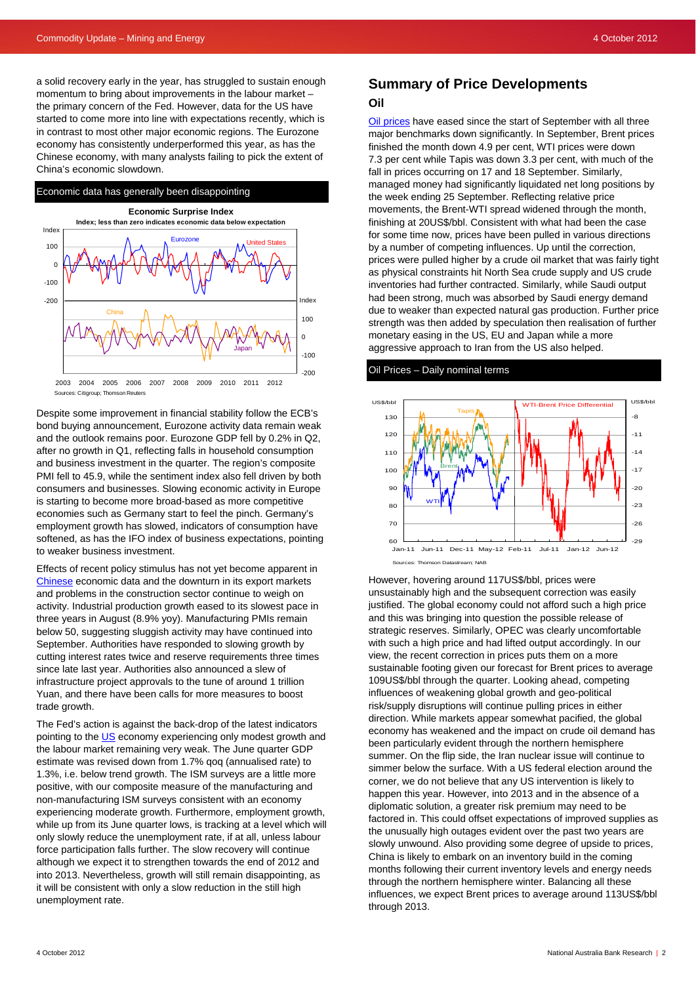a solid recovery early in the year, has struggled to sustain enough momentum to bring about improvements in the labour market – the primary concern of the Fed. However, data for the US have started to come more into line with expectations recently, which is in contrast to most other major economic regions. The Eurozone economy has consistently underperformed this year, as has the Chinese economy, with many analysts failing to pick the extent of China's economic slowdown.

#### Economic data has generally been disappointing



Despite some improvement in financial stability follow the ECB's bond buying announcement, Eurozone activity data remain weak and the outlook remains poor. Eurozone GDP fell by 0.2% in Q2, after no growth in Q1, reflecting falls in household consumption and business investment in the quarter. The region's composite PMI fell to 45.9, while the sentiment index also fell driven by both consumers and businesses. Slowing economic activity in Europe is starting to become more broad-based as more competitive economies such as Germany start to feel the pinch. Germany's employment growth has slowed, indicators of consumption have softened, as has the IFO index of business expectations, pointing to weaker business investment.

Effects of recent policy stimulus has not yet become apparent in [Chinese](http://www.nab.com.au/wps/wcm/connect/834f23004c6c4f389e05df70a9798d66/Chinese-Monthly-Update-August2012.pdf?MOD=AJPERES&CACHEID=834f23004c6c4f389e05df70a9798d66) economic data and the downturn in its export markets and problems in the construction sector continue to weigh on activity. Industrial production growth eased to its slowest pace in three years in August (8.9% yoy). Manufacturing PMIs remain below 50, suggesting sluggish activity may have continued into September. Authorities have responded to slowing growth by cutting interest rates twice and reserve requirements three times since late last year. Authorities also announced a slew of infrastructure project approvals to the tune of around 1 trillion Yuan, and there have been calls for more measures to boost trade growth.

The Fed's action is against the back-drop of the latest indicators pointing to the [US](http://www.nab.com.au/wps/wcm/connect/nab/nab/home/business_solutions/10/1/6) economy experiencing only modest growth and the labour market remaining very weak. The June quarter GDP estimate was revised down from 1.7% qoq (annualised rate) to 1.3%, i.e. below trend growth. The ISM surveys are a little more positive, with our composite measure of the manufacturing and non-manufacturing ISM surveys consistent with an economy experiencing moderate growth. Furthermore, employment growth, while up from its June quarter lows, is tracking at a level which will only slowly reduce the unemployment rate, if at all, unless labour force participation falls further. The slow recovery will continue although we expect it to strengthen towards the end of 2012 and into 2013. Nevertheless, growth will still remain disappointing, as it will be consistent with only a slow reduction in the still high unemployment rate.

# **Summary of Price Developments Oil**

[Oil prices](http://www.nab.com.au/wps/wcm/connect/nab/nab/home/business_solutions/10/1/13) have eased since the start of September with all three major benchmarks down significantly. In September, Brent prices finished the month down 4.9 per cent, WTI prices were down 7.3 per cent while Tapis was down 3.3 per cent, with much of the fall in prices occurring on 17 and 18 September. Similarly, managed money had significantly liquidated net long positions by the week ending 25 September. Reflecting relative price movements, the Brent-WTI spread widened through the month, finishing at 20US\$/bbl. Consistent with what had been the case for some time now, prices have been pulled in various directions by a number of competing influences. Up until the correction, prices were pulled higher by a crude oil market that was fairly tight as physical constraints hit North Sea crude supply and US crude inventories had further contracted. Similarly, while Saudi output had been strong, much was absorbed by Saudi energy demand due to weaker than expected natural gas production. Further price strength was then added by speculation then realisation of further monetary easing in the US, EU and Japan while a more aggressive approach to Iran from the US also helped.

#### Oil Prices – Daily nominal terms



However, hovering around 117US\$/bbl, prices were unsustainably high and the subsequent correction was easily justified. The global economy could not afford such a high price and this was bringing into question the possible release of strategic reserves. Similarly, OPEC was clearly uncomfortable with such a high price and had lifted output accordingly. In our view, the recent correction in prices puts them on a more sustainable footing given our forecast for Brent prices to average 109US\$/bbl through the quarter. Looking ahead, competing influences of weakening global growth and geo-political risk/supply disruptions will continue pulling prices in either direction. While markets appear somewhat pacified, the global economy has weakened and the impact on crude oil demand has been particularly evident through the northern hemisphere summer. On the flip side, the Iran nuclear issue will continue to simmer below the surface. With a US federal election around the corner, we do not believe that any US intervention is likely to happen this year. However, into 2013 and in the absence of a diplomatic solution, a greater risk premium may need to be factored in. This could offset expectations of improved supplies as the unusually high outages evident over the past two years are slowly unwound. Also providing some degree of upside to prices, China is likely to embark on an inventory build in the coming months following their current inventory levels and energy needs through the northern hemisphere winter. Balancing all these influences, we expect Brent prices to average around 113US\$/bbl through 2013.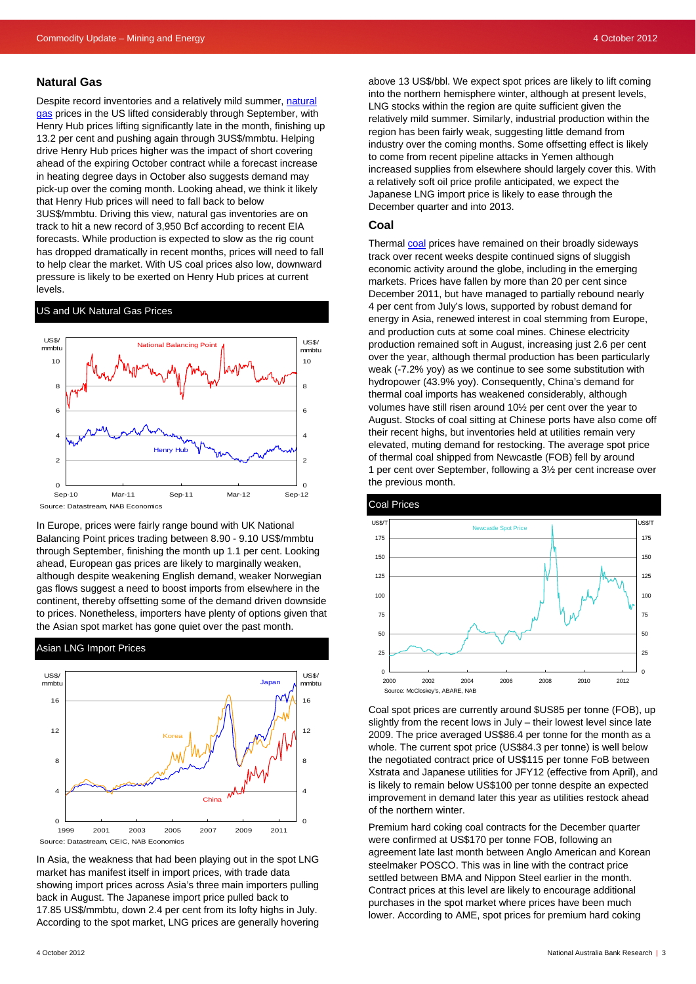#### **Natural Gas**

Despite record inventories and a relatively mild summer, [natural](http://www.nab.com.au/wps/wcm/connect/nab/nab/home/business_solutions/10/1/13)  [gas](http://www.nab.com.au/wps/wcm/connect/nab/nab/home/business_solutions/10/1/13) prices in the US lifted considerably through September, with Henry Hub prices lifting significantly late in the month, finishing up 13.2 per cent and pushing again through 3US\$/mmbtu. Helping drive Henry Hub prices higher was the impact of short covering ahead of the expiring October contract while a forecast increase in heating degree days in October also suggests demand may pick-up over the coming month. Looking ahead, we think it likely that Henry Hub prices will need to fall back to below 3US\$/mmbtu. Driving this view, natural gas inventories are on track to hit a new record of 3,950 Bcf according to recent EIA forecasts. While production is expected to slow as the rig count has dropped dramatically in recent months, prices will need to fall to help clear the market. With US coal prices also low, downward pressure is likely to be exerted on Henry Hub prices at current levels.

#### US and UK Natural Gas Prices



In Europe, prices were fairly range bound with UK National Balancing Point prices trading between 8.90 - 9.10 US\$/mmbtu through September, finishing the month up 1.1 per cent. Looking ahead, European gas prices are likely to marginally weaken, although despite weakening English demand, weaker Norwegian gas flows suggest a need to boost imports from elsewhere in the continent, thereby offsetting some of the demand driven downside to prices. Nonetheless, importers have plenty of options given that the Asian spot market has gone quiet over the past month.

#### Asian LNG Import Prices



In Asia, the weakness that had been playing out in the spot LNG market has manifest itself in import prices, with trade data showing import prices across Asia's three main importers pulling back in August. The Japanese import price pulled back to 17.85 US\$/mmbtu, down 2.4 per cent from its lofty highs in July. According to the spot market, LNG prices are generally hovering

above 13 US\$/bbl. We expect spot prices are likely to lift coming into the northern hemisphere winter, although at present levels, LNG stocks within the region are quite sufficient given the relatively mild summer. Similarly, industrial production within the region has been fairly weak, suggesting little demand from industry over the coming months. Some offsetting effect is likely to come from recent pipeline attacks in Yemen although increased supplies from elsewhere should largely cover this. With a relatively soft oil price profile anticipated, we expect the Japanese LNG import price is likely to ease through the December quarter and into 2013.

#### **Coal**

Thermal [coal](http://www.nab.com.au/wps/wcm/connect/nab/nab/home/business_solutions/10/1/13) prices have remained on their broadly sideways track over recent weeks despite continued signs of sluggish economic activity around the globe, including in the emerging markets. Prices have fallen by more than 20 per cent since December 2011, but have managed to partially rebound nearly 4 per cent from July's lows, supported by robust demand for energy in Asia, renewed interest in coal stemming from Europe, and production cuts at some coal mines. Chinese electricity production remained soft in August, increasing just 2.6 per cent over the year, although thermal production has been particularly weak (-7.2% yoy) as we continue to see some substitution with hydropower (43.9% yoy). Consequently, China's demand for thermal coal imports has weakened considerably, although volumes have still risen around 10½ per cent over the year to August. Stocks of coal sitting at Chinese ports have also come off their recent highs, but inventories held at utilities remain very elevated, muting demand for restocking. The average spot price of thermal coal shipped from Newcastle (FOB) fell by around 1 per cent over September, following a 3½ per cent increase over the previous month.



Coal spot prices are currently around \$US85 per tonne (FOB), up slightly from the recent lows in July – their lowest level since late 2009. The price averaged US\$86.4 per tonne for the month as a whole. The current spot price (US\$84.3 per tonne) is well below the negotiated contract price of US\$115 per tonne FoB between Xstrata and Japanese utilities for JFY12 (effective from April), and is likely to remain below US\$100 per tonne despite an expected improvement in demand later this year as utilities restock ahead of the northern winter.

Premium hard coking coal contracts for the December quarter were confirmed at US\$170 per tonne FOB, following an agreement late last month between Anglo American and Korean steelmaker POSCO. This was in line with the contract price settled between BMA and Nippon Steel earlier in the month. Contract prices at this level are likely to encourage additional purchases in the spot market where prices have been much lower. According to AME, spot prices for premium hard coking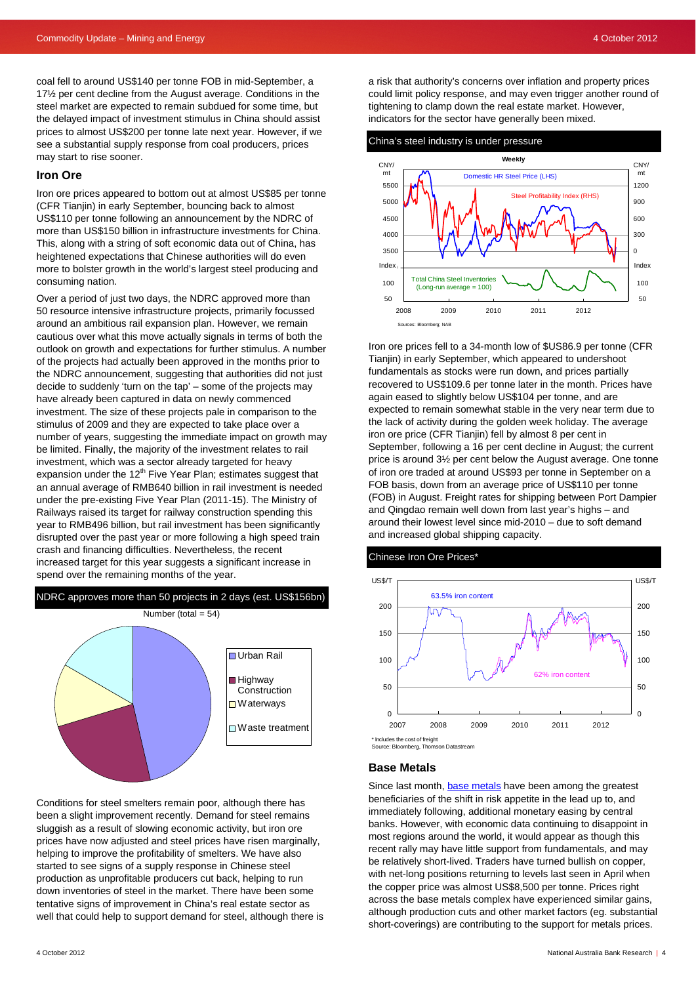coal fell to around US\$140 per tonne FOB in mid-September, a 17½ per cent decline from the August average. Conditions in the steel market are expected to remain subdued for some time, but the delayed impact of investment stimulus in China should assist prices to almost US\$200 per tonne late next year. However, if we see a substantial supply response from coal producers, prices may start to rise sooner.

#### **Iron Ore**

Iron ore prices appeared to bottom out at almost US\$85 per tonne (CFR Tianjin) in early September, bouncing back to almost US\$110 per tonne following an announcement by the NDRC of more than US\$150 billion in infrastructure investments for China. This, along with a string of soft economic data out of China, has heightened expectations that Chinese authorities will do even more to bolster growth in the world's largest steel producing and consuming nation.

Over a period of just two days, the NDRC approved more than 50 resource intensive infrastructure projects, primarily focussed around an ambitious rail expansion plan. However, we remain cautious over what this move actually signals in terms of both the outlook on growth and expectations for further stimulus. A number of the projects had actually been approved in the months prior to the NDRC announcement, suggesting that authorities did not just decide to suddenly 'turn on the tap' – some of the projects may have already been captured in data on newly commenced investment. The size of these projects pale in comparison to the stimulus of 2009 and they are expected to take place over a number of years, suggesting the immediate impact on growth may be limited. Finally, the majority of the investment relates to rail investment, which was a sector already targeted for heavy expansion under the  $12<sup>th</sup>$  Five Year Plan; estimates suggest that an annual average of RMB640 billion in rail investment is needed under the pre-existing Five Year Plan (2011-15). The Ministry of Railways raised its target for railway construction spending this year to RMB496 billion, but rail investment has been significantly disrupted over the past year or more following a high speed train crash and financing difficulties. Nevertheless, the recent increased target for this year suggests a significant increase in spend over the remaining months of the year.



Conditions for steel smelters remain poor, although there has been a slight improvement recently. Demand for steel remains sluggish as a result of slowing economic activity, but iron ore prices have now adjusted and steel prices have risen marginally, helping to improve the profitability of smelters. We have also started to see signs of a supply response in Chinese steel production as unprofitable producers cut back, helping to run down inventories of steel in the market. There have been some tentative signs of improvement in China's real estate sector as well that could help to support demand for steel, although there is

a risk that authority's concerns over inflation and property prices could limit policy response, and may even trigger another round of tightening to clamp down the real estate market. However, indicators for the sector have generally been mixed.

#### China's steel industry is under pressure



Iron ore prices fell to a 34-month low of \$US86.9 per tonne (CFR Tianjin) in early September, which appeared to undershoot fundamentals as stocks were run down, and prices partially recovered to US\$109.6 per tonne later in the month. Prices have again eased to slightly below US\$104 per tonne, and are expected to remain somewhat stable in the very near term due to the lack of activity during the golden week holiday. The average iron ore price (CFR Tianjin) fell by almost 8 per cent in September, following a 16 per cent decline in August; the current price is around 3½ per cent below the August average. One tonne of iron ore traded at around US\$93 per tonne in September on a FOB basis, down from an average price of US\$110 per tonne (FOB) in August. Freight rates for shipping between Port Dampier and Qingdao remain well down from last year's highs – and around their lowest level since mid-2010 – due to soft demand and increased global shipping capacity.

#### Chinese Iron Ore Prices\*



source: Bloomberg, Thomson Datastr

#### **Base Metals**

Since last month, [base metals](http://www.nab.com.au/wps/wcm/connect/nab/nab/home/business_solutions/10/1/13) have been among the greatest beneficiaries of the shift in risk appetite in the lead up to, and immediately following, additional monetary easing by central banks. However, with economic data continuing to disappoint in most regions around the world, it would appear as though this recent rally may have little support from fundamentals, and may be relatively short-lived. Traders have turned bullish on copper, with net-long positions returning to levels last seen in April when the copper price was almost US\$8,500 per tonne. Prices right across the base metals complex have experienced similar gains, although production cuts and other market factors (eg. substantial short-coverings) are contributing to the support for metals prices.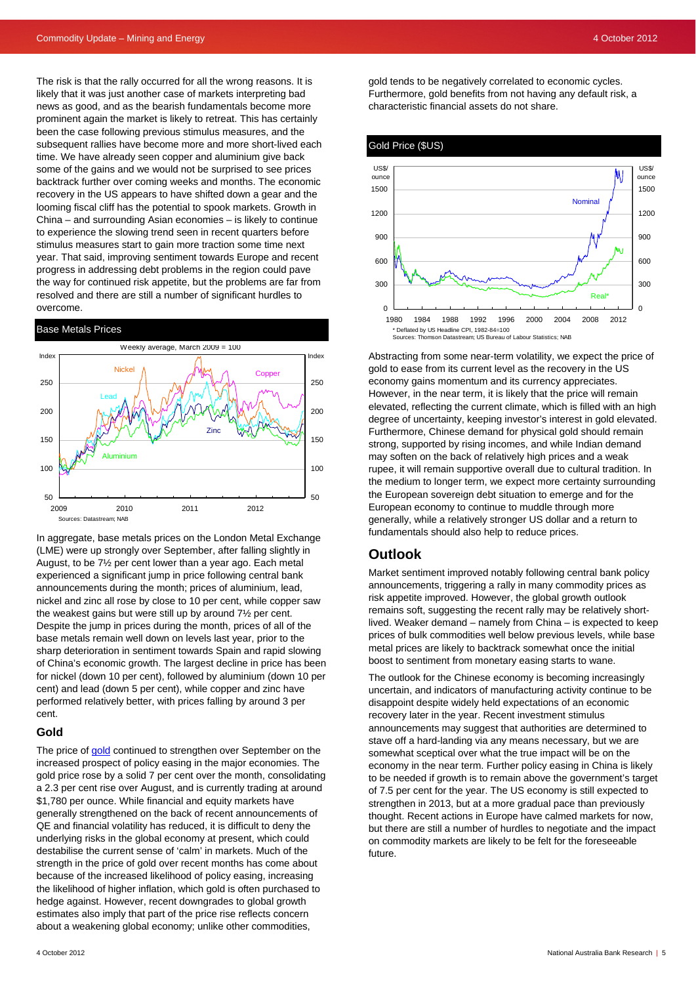The risk is that the rally occurred for all the wrong reasons. It is likely that it was just another case of markets interpreting bad news as good, and as the bearish fundamentals become more prominent again the market is likely to retreat. This has certainly been the case following previous stimulus measures, and the subsequent rallies have become more and more short-lived each time. We have already seen copper and aluminium give back some of the gains and we would not be surprised to see prices backtrack further over coming weeks and months. The economic recovery in the US appears to have shifted down a gear and the looming fiscal cliff has the potential to spook markets. Growth in China – and surrounding Asian economies – is likely to continue to experience the slowing trend seen in recent quarters before stimulus measures start to gain more traction some time next year. That said, improving sentiment towards Europe and recent progress in addressing debt problems in the region could pave the way for continued risk appetite, but the problems are far from resolved and there are still a number of significant hurdles to overcome.

#### Base Metals Prices



In aggregate, base metals prices on the London Metal Exchange (LME) were up strongly over September, after falling slightly in August, to be 7½ per cent lower than a year ago. Each metal experienced a significant jump in price following central bank announcements during the month; prices of aluminium, lead, nickel and zinc all rose by close to 10 per cent, while copper saw the weakest gains but were still up by around 7½ per cent. Despite the jump in prices during the month, prices of all of the base metals remain well down on levels last year, prior to the sharp deterioration in sentiment towards Spain and rapid slowing of China's economic growth. The largest decline in price has been for nickel (down 10 per cent), followed by aluminium (down 10 per cent) and lead (down 5 per cent), while copper and zinc have performed relatively better, with prices falling by around 3 per cent.

#### **Gold**

The price of [gold](http://www.nab.com.au/wps/wcm/connect/nab/nab/home/business_solutions/10/1/13) continued to strengthen over September on the increased prospect of policy easing in the major economies. The gold price rose by a solid 7 per cent over the month, consolidating a 2.3 per cent rise over August, and is currently trading at around \$1,780 per ounce. While financial and equity markets have generally strengthened on the back of recent announcements of QE and financial volatility has reduced, it is difficult to deny the underlying risks in the global economy at present, which could destabilise the current sense of 'calm' in markets. Much of the strength in the price of gold over recent months has come about because of the increased likelihood of policy easing, increasing the likelihood of higher inflation, which gold is often purchased to hedge against. However, recent downgrades to global growth estimates also imply that part of the price rise reflects concern about a weakening global economy; unlike other commodities,

gold tends to be negatively correlated to economic cycles. Furthermore, gold benefits from not having any default risk, a characteristic financial assets do not share.



Abstracting from some near-term volatility, we expect the price of gold to ease from its current level as the recovery in the US economy gains momentum and its currency appreciates. However, in the near term, it is likely that the price will remain elevated, reflecting the current climate, which is filled with an high degree of uncertainty, keeping investor's interest in gold elevated. Furthermore, Chinese demand for physical gold should remain strong, supported by rising incomes, and while Indian demand may soften on the back of relatively high prices and a weak rupee, it will remain supportive overall due to cultural tradition. In the medium to longer term, we expect more certainty surrounding the European sovereign debt situation to emerge and for the European economy to continue to muddle through more generally, while a relatively stronger US dollar and a return to fundamentals should also help to reduce prices.

# **Outlook**

Market sentiment improved notably following central bank policy announcements, triggering a rally in many commodity prices as risk appetite improved. However, the global growth outlook remains soft, suggesting the recent rally may be relatively shortlived. Weaker demand – namely from China – is expected to keep prices of bulk commodities well below previous levels, while base metal prices are likely to backtrack somewhat once the initial boost to sentiment from monetary easing starts to wane.

The outlook for the Chinese economy is becoming increasingly uncertain, and indicators of manufacturing activity continue to be disappoint despite widely held expectations of an economic recovery later in the year. Recent investment stimulus announcements may suggest that authorities are determined to stave off a hard-landing via any means necessary, but we are somewhat sceptical over what the true impact will be on the economy in the near term. Further policy easing in China is likely to be needed if growth is to remain above the government's target of 7.5 per cent for the year. The US economy is still expected to strengthen in 2013, but at a more gradual pace than previously thought. Recent actions in Europe have calmed markets for now, but there are still a number of hurdles to negotiate and the impact on commodity markets are likely to be felt for the foreseeable future.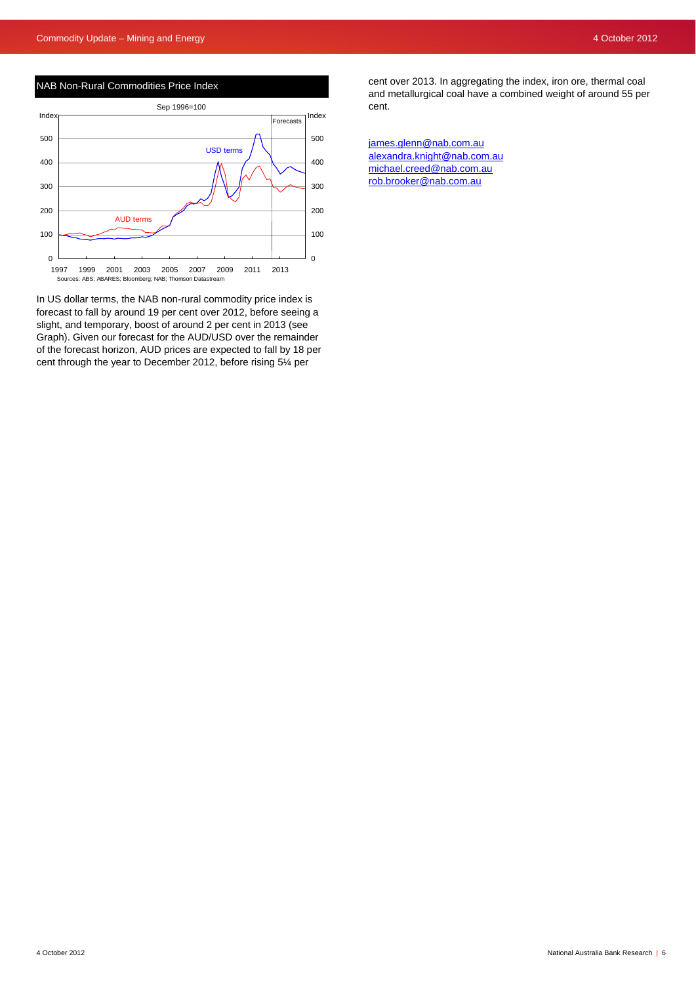

NAB Non-Rural Commodities Price Index

In US dollar terms, the NAB non-rural commodity price index is forecast to fall by around 19 per cent over 2012, before seeing a slight, and temporary, boost of around 2 per cent in 2013 (see Graph). Given our forecast for the AUD/USD over the remainder of the forecast horizon, AUD prices are expected to fall by 18 per cent through the year to December 2012, before rising 5¼ per

cent over 2013. In aggregating the index, iron ore, thermal coal and metallurgical coal have a combined weight of around 55 per cent.

[james.glenn@nab.com.au](mailto:james.glenn@nab.com.au) [alexandra.knight@nab.com.au](mailto:alexandra.knight@nab.com.au)  [michael.creed@nab.com.au](mailto:michael.creed@nab.com.au) [rob.brooker@nab.com.au](mailto:rob.brooker@nab.com.au)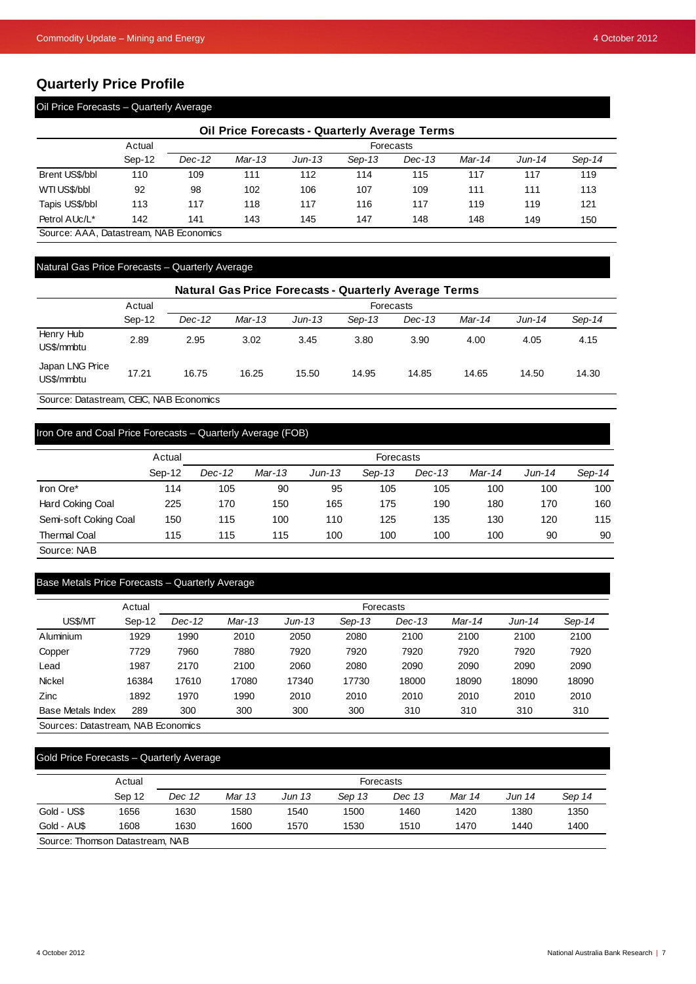# **Quarterly Price Profile**

# Oil Price Forecasts – Quarterly Average

| Oil Price Forecasts - Quarterly Average Terms |        |        |        |          |          |          |        |          |          |  |
|-----------------------------------------------|--------|--------|--------|----------|----------|----------|--------|----------|----------|--|
|                                               | Actual |        |        |          |          |          |        |          |          |  |
|                                               | Sep-12 | Dec-12 | Mar-13 | $Jun-13$ | $Sep-13$ | $Dec-13$ | Mar-14 | $Jun-14$ | $Sep-14$ |  |
| Brent US\$/bbl                                | 110    | 109    | 111    | 112      | 114      | 115      | 117    | 117      | 119      |  |
| WTI US\$/bbl                                  | 92     | 98     | 102    | 106      | 107      | 109      | 111    | 111      | 113      |  |
| Tapis US\$/bbl                                | 113    | 117    | 118    | 117      | 116      | 117      | 119    | 119      | 121      |  |
| Petrol AUc/L*                                 | 142    | 141    | 143    | 145      | 147      | 148      | 148    | 149      | 150      |  |

Source: AAA, Datastream, NAB Economics

## Natural Gas Price Forecasts – Quarterly Average

| <b>Natural Gas Price Forecasts - Quarterly Average Terms</b> |        |          |           |          |        |        |        |          |          |  |
|--------------------------------------------------------------|--------|----------|-----------|----------|--------|--------|--------|----------|----------|--|
|                                                              | Actual |          | Forecasts |          |        |        |        |          |          |  |
|                                                              | Sep-12 | $Dec-12$ | Mar-13    | $Jun-13$ | Sep-13 | Dec-13 | Mar-14 | $Jun-14$ | $Sep-14$ |  |
| Henry Hub<br>US\$/mmbtu                                      | 2.89   | 2.95     | 3.02      | 3.45     | 3.80   | 3.90   | 4.00   | 4.05     | 4.15     |  |
| Japan LNG Price<br>US\$/mmbtu                                | 17.21  | 16.75    | 16.25     | 15.50    | 14.95  | 14.85  | 14.65  | 14.50    | 14.30    |  |

Source: Datastream, CEIC, NAB Economics

# Iron Ore and Coal Price Forecasts – Quarterly Average (FOB)

|                       | Actual |        |        |          | Forecasts |          |        |        |        |
|-----------------------|--------|--------|--------|----------|-----------|----------|--------|--------|--------|
|                       | Sep-12 | Dec-12 | Mar-13 | $Jun-13$ | $Sep-13$  | $Dec-13$ | Mar-14 | Jun-14 | Sep-14 |
| Iron Ore*             | 114    | 105    | 90     | 95       | 105       | 105      | 100    | 100    | 100    |
| Hard Coking Coal      | 225    | 170    | 150    | 165      | 175       | 190      | 180    | 170    | 160    |
| Semi-soft Coking Coal | 150    | 115    | 100    | 110      | 125       | 135      | 130    | 120    | 115    |
| <b>Thermal Coal</b>   | 115    | 115    | 115    | 100      | 100       | 100      | 100    | 90     | 90     |

Source: NAB

# Base Metals Price Forecasts – Quarterly Average

|                   | Actual | Forecasts |        |          |          |          |        |          |        |
|-------------------|--------|-----------|--------|----------|----------|----------|--------|----------|--------|
| US\$/MT           | Sep-12 | Dec-12    | Mar-13 | $Jun-13$ | $Sep-13$ | $Dec-13$ | Mar-14 | $Jun-14$ | Sep-14 |
| Aluminium         | 1929   | 1990      | 2010   | 2050     | 2080     | 2100     | 2100   | 2100     | 2100   |
| Copper            | 7729   | 7960      | 7880   | 7920     | 7920     | 7920     | 7920   | 7920     | 7920   |
| Lead              | 1987   | 2170      | 2100   | 2060     | 2080     | 2090     | 2090   | 2090     | 2090   |
| <b>Nickel</b>     | 16384  | 17610     | 17080  | 17340    | 17730    | 18000    | 18090  | 18090    | 18090  |
| Zinc              | 1892   | 1970      | 1990   | 2010     | 2010     | 2010     | 2010   | 2010     | 2010   |
| Base Metals Index | 289    | 300       | 300    | 300      | 300      | 310      | 310    | 310      | 310    |

Sources: Datastream, NAB Economics

# Gold Price Forecasts – Quarterly Average

|                                 | Actual |        |        |        |        | Forecasts |        |        |        |  |  |  |
|---------------------------------|--------|--------|--------|--------|--------|-----------|--------|--------|--------|--|--|--|
|                                 | Sep 12 | Dec 12 | Mar 13 | Jun 13 | Sep 13 | Dec 13    | Mar 14 | Jun 14 | Sep 14 |  |  |  |
| Gold - US\$                     | 1656   | 1630   | 1580   | 1540   | 1500   | 1460      | 1420   | 1380   | 1350   |  |  |  |
| Gold - AUS                      | 1608   | 1630   | 1600   | 1570   | 1530   | 1510      | 1470   | 1440   | 1400   |  |  |  |
| Source: Thomson Datastream, NAB |        |        |        |        |        |           |        |        |        |  |  |  |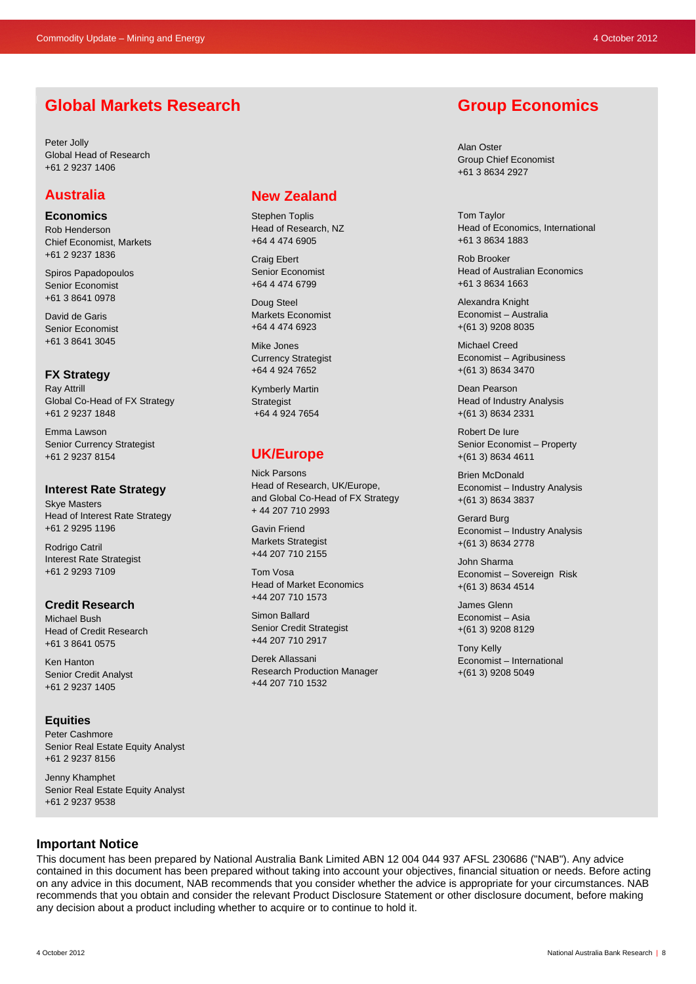# **Global Markets Research**

Peter Jolly Global Head of Research +61 2 9237 1406

# **Australia**

**Economics**  Rob Henderson

Chief Economist, Markets +61 2 9237 1836

Spiros Papadopoulos Senior Economist +61 3 8641 0978

David de Garis Senior Economist +61 3 8641 3045

# **FX Strategy**

Ray Attrill Global Co-Head of FX Strategy +61 2 9237 1848

Emma Lawson Senior Currency Strategist +61 2 9237 8154

#### **Interest Rate Strategy**

Skye Masters Head of Interest Rate Strategy +61 2 9295 1196

Rodrigo Catril Interest Rate Strategist +61 2 9293 7109

## **Credit Research**

Michael Bush Head of Credit Research +61 3 8641 0575

Ken Hanton Senior Credit Analyst +61 2 9237 1405

## **Equities**

Peter Cashmore Senior Real Estate Equity Analyst +61 2 9237 8156

Jenny Khamphet Senior Real Estate Equity Analyst +61 2 9237 9538

# **New Zealand**

Stephen Toplis Head of Research, NZ +64 4 474 6905

Craig Ebert Senior Economist +64 4 474 6799

Markets Economist +64 4 474 6923

Currency Strategist

Kymberly Martin +64 4 924 7654

# **UK/Europe**

Nick Parsons Head of Research, UK/Europe, and Global Co-Head of FX Strategy + 44 207 710 2993

Gavin Friend Markets Strategist +44 207 710 2155

Tom Vosa Head of Market Economics +44 207 710 1573

Simon Ballard Senior Credit Strategist +44 207 710 2917

Derek Allassani Research Production Manager +44 207 710 1532

# **Group Economics**

Alan Oster Group Chief Economist +61 3 8634 2927

Tom Taylor Head of Economics, International +61 3 8634 1883

Rob Brooker Head of Australian Economics +61 3 8634 1663

Alexandra Knight Economist – Australia +(61 3) 9208 8035

Michael Creed Economist – Agribusiness +(61 3) 8634 3470

Dean Pearson Head of Industry Analysis +(61 3) 8634 2331

Robert De Iure Senior Economist – Property +(61 3) 8634 4611

Brien McDonald Economist – Industry Analysis +(61 3) 8634 3837

Gerard Burg Economist – Industry Analysis +(61 3) 8634 2778

John Sharma Economist – Sovereign Risk +(61 3) 8634 4514

James Glenn Economist – Asia +(61 3) 9208 8129

Tony Kelly Economist – International +(61 3) 9208 5049

Doug Steel

Mike Jones +64 4 924 7652

**Strategist** 

This document has been prepared by National Australia Bank Limited ABN 12 004 044 937 AFSL 230686 ("NAB"). Any advice contained in this document has been prepared without taking into account your objectives, financial situation or needs. Before acting on any advice in this document, NAB recommends that you consider whether the advice is appropriate for your circumstances. NAB recommends that you obtain and consider the relevant Product Disclosure Statement or other disclosure document, before making any decision about a product including whether to acquire or to continue to hold it.